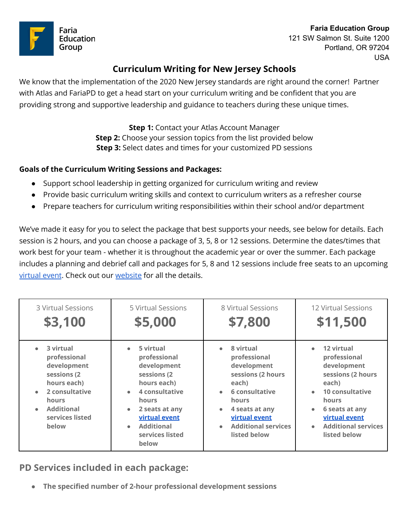



121 SW Salmon St. Suite 1200 Portland, OR 97204 USA

### **Curriculum Writing for New Jersey Schools**

We know that the implementation of the 2020 New Jersey standards are right around the corner! Partner with Atlas and FariaPD to get a head start on your curriculum writing and be confident that you are providing strong and supportive leadership and guidance to teachers during these unique times.

> **Step 1:** Contact your Atlas Account Manager **Step 2:** Choose your session topics from the list provided below **Step 3:** Select dates and times for your customized PD sessions

#### **Goals of the Curriculum Writing Sessions and Packages:**

- Support school leadership in getting organized for curriculum writing and review
- Provide basic curriculum writing skills and context to curriculum writers as a refresher course
- Prepare teachers for curriculum writing responsibilities within their school and/or department

We've made it easy for you to select the package that best supports your needs, see below for details. Each session is 2 hours, and you can choose a package of 3, 5, 8 or 12 sessions. Determine the dates/times that work best for your team - whether it is throughout the academic year or over the summer. Each package includes a planning and debrief call and packages for 5, 8 and 12 sessions include free seats to an upcoming [virtual](https://t.sidekickopen90.com/s2t/c/5/f18dQhb0S7kF8cFHZWW1VW0Y_59hl3kW7_k2841CX2c7N3JV7_ctMxVlVVmxFd3wqXrF102?te=W3R5hFj4cm2zwW3KbsMT4fNk2TW3zgDbk3K2_CbW3Fbt5S2k9cXJW3HcvCH2f5V-jW3zgYjN4fKvctW41RkW01pM_sXW41YxQY4rCVZVW3FbtcC3K8PTlW3F6jVY43TCCNW41RhJ943R61n3b7l2&si=8000000000577110&pi=557302c0-c1e6-4a16-e3b8-cecd6be81106) event. Check out our [website](https://www.fariaedu.com/virtualpd) for all the details.

| 3 Virtual Sessions                                                                                                                                                               | 5 Virtual Sessions                                                                                                                                                                                                     | 8 Virtual Sessions                                                                                                                                                                                                                            | <b>12 Virtual Sessions</b>                                                                                                                                                                                 |
|----------------------------------------------------------------------------------------------------------------------------------------------------------------------------------|------------------------------------------------------------------------------------------------------------------------------------------------------------------------------------------------------------------------|-----------------------------------------------------------------------------------------------------------------------------------------------------------------------------------------------------------------------------------------------|------------------------------------------------------------------------------------------------------------------------------------------------------------------------------------------------------------|
| \$3,100                                                                                                                                                                          | \$5,000                                                                                                                                                                                                                | \$7,800                                                                                                                                                                                                                                       | \$11,500                                                                                                                                                                                                   |
| $\bullet$ 3 virtual<br>professional<br>development<br>sessions (2)<br>hours each)<br>2 consultative<br>$\bullet$<br>hours<br>Additional<br>$\bullet$<br>services listed<br>below | 5 virtual<br>professional<br>development<br>sessions (2<br>hours each)<br>4 consultative<br>$\bullet$<br><b>hours</b><br>2 seats at any<br>$\bullet$<br>virtual event<br><b>Additional</b><br>services listed<br>below | 8 virtual<br>$\bullet$<br>professional<br>development<br>sessions (2 hours<br>each)<br>6 consultative<br>$\bullet$<br><b>hours</b><br>4 seats at any<br>$\bullet$<br>virtual event<br><b>Additional services</b><br>$\bullet$<br>listed below | 12 virtual<br>professional<br>development<br>sessions (2 hours<br>each)<br>• 10 consultative<br><b>hours</b><br>6 seats at any<br>$\bullet$<br>virtual event<br><b>Additional services</b><br>listed below |

**PD Services included in each package:**

**● The specified number of 2-hour professional development sessions**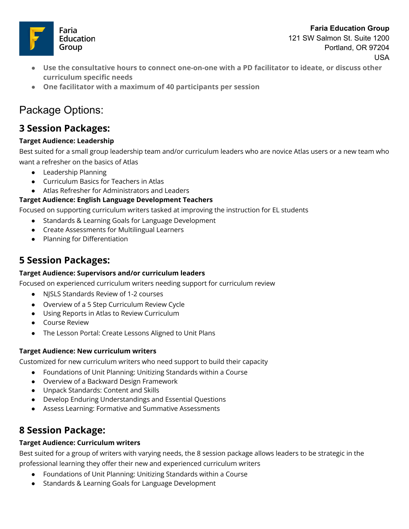

121 SW Salmon St. Suite 1200 Portland, OR 97204 USA

- **● Use the consultative hours to connect one-on-one with a PD facilitator to ideate, or discuss other curriculum specific needs**
- **● One facilitator with a maximum of 40 participants per session**

# Package Options:

### **3 Session Packages:**

#### **Target Audience: Leadership**

Best suited for a small group leadership team and/or curriculum leaders who are novice Atlas users or a new team who want a refresher on the basics of Atlas

- Leadership Planning
- Curriculum Basics for Teachers in Atlas
- Atlas Refresher for Administrators and Leaders

#### **Target Audience: English Language Development Teachers**

Focused on supporting curriculum writers tasked at improving the instruction for EL students

- Standards & Learning Goals for Language Development
- Create Assessments for Multilingual Learners
- Planning for Differentiation

### **5 Session Packages:**

#### **Target Audience: Supervisors and/or curriculum leaders**

Focused on experienced curriculum writers needing support for curriculum review

- NJSLS Standards Review of 1-2 courses
- Overview of a 5 Step Curriculum Review Cycle
- Using Reports in Atlas to Review Curriculum
- Course Review
- The Lesson Portal: Create Lessons Aligned to Unit Plans

#### **Target Audience: New curriculum writers**

Customized for new curriculum writers who need support to build their capacity

- Foundations of Unit Planning: Unitizing Standards within a Course
- Overview of a Backward Design Framework
- Unpack Standards: Content and Skills
- Develop Enduring Understandings and Essential Questions
- Assess Learning: Formative and Summative Assessments

## **8 Session Package:**

#### **Target Audience: Curriculum writers**

Best suited for a group of writers with varying needs, the 8 session package allows leaders to be strategic in the professional learning they offer their new and experienced curriculum writers

- Foundations of Unit Planning: Unitizing Standards within a Course
- Standards & Learning Goals for Language Development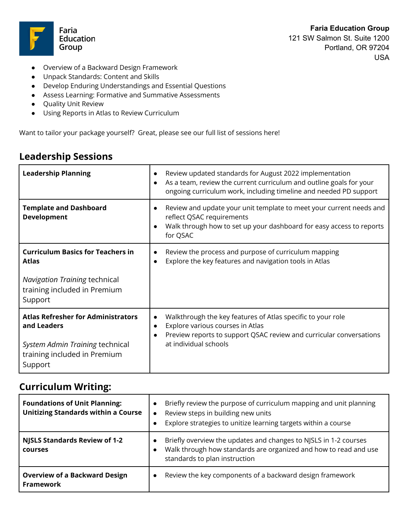

**Faria Education Group** 121 SW Salmon St. Suite 1200 Portland, OR 97204 USA

- Overview of a Backward Design Framework
- Unpack Standards: Content and Skills
- Develop Enduring Understandings and Essential Questions
- Assess Learning: Formative and Summative Assessments
- Quality Unit Review
- Using Reports in Atlas to Review Curriculum

Want to tailor your package yourself? Great, please see our full list of sessions here!

## **Leadership Sessions**

| <b>Leadership Planning</b>                                                                                                             | Review updated standards for August 2022 implementation<br>$\bullet$<br>As a team, review the current curriculum and outline goals for your<br>$\bullet$<br>ongoing curriculum work, including timeline and needed PD support |
|----------------------------------------------------------------------------------------------------------------------------------------|-------------------------------------------------------------------------------------------------------------------------------------------------------------------------------------------------------------------------------|
| <b>Template and Dashboard</b><br><b>Development</b>                                                                                    | Review and update your unit template to meet your current needs and<br>$\bullet$<br>reflect QSAC requirements<br>Walk through how to set up your dashboard for easy access to reports<br>$\bullet$<br>for QSAC                |
| <b>Curriculum Basics for Teachers in</b><br><b>Atlas</b>                                                                               | Review the process and purpose of curriculum mapping<br>$\bullet$<br>Explore the key features and navigation tools in Atlas<br>$\bullet$                                                                                      |
| <b>Navigation Training technical</b><br>training included in Premium<br>Support                                                        |                                                                                                                                                                                                                               |
| <b>Atlas Refresher for Administrators</b><br>and Leaders<br>System Admin Training technical<br>training included in Premium<br>Support | Walkthrough the key features of Atlas specific to your role<br>$\bullet$<br>Explore various courses in Atlas<br>$\bullet$<br>Preview reports to support QSAC review and curricular conversations<br>at individual schools     |

## **Curriculum Writing:**

| <b>Foundations of Unit Planning:</b><br><b>Unitizing Standards within a Course</b> | Briefly review the purpose of curriculum mapping and unit planning<br>Review steps in building new units<br>$\bullet$<br>Explore strategies to unitize learning targets within a course |  |
|------------------------------------------------------------------------------------|-----------------------------------------------------------------------------------------------------------------------------------------------------------------------------------------|--|
| <b>NJSLS Standards Review of 1-2</b><br>courses                                    | Briefly overview the updates and changes to NJSLS in 1-2 courses<br>Walk through how standards are organized and how to read and use<br>standards to plan instruction                   |  |
| <b>Overview of a Backward Design</b><br><b>Framework</b>                           | Review the key components of a backward design framework<br>$\bullet$                                                                                                                   |  |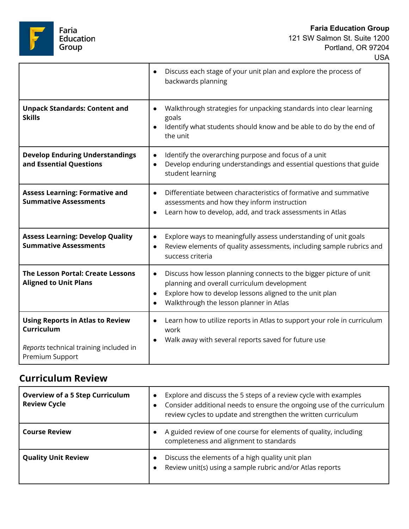Faria<br>Education<br>Group

USA

|                                                                                                                    | Discuss each stage of your unit plan and explore the process of<br>$\bullet$<br>backwards planning                                                                                                                                                |
|--------------------------------------------------------------------------------------------------------------------|---------------------------------------------------------------------------------------------------------------------------------------------------------------------------------------------------------------------------------------------------|
| <b>Unpack Standards: Content and</b><br><b>Skills</b>                                                              | Walkthrough strategies for unpacking standards into clear learning<br>$\bullet$<br>goals<br>Identify what students should know and be able to do by the end of<br>$\bullet$<br>the unit                                                           |
| <b>Develop Enduring Understandings</b><br>and Essential Questions                                                  | Identify the overarching purpose and focus of a unit<br>$\bullet$<br>Develop enduring understandings and essential questions that guide<br>$\bullet$<br>student learning                                                                          |
| <b>Assess Learning: Formative and</b><br><b>Summative Assessments</b>                                              | Differentiate between characteristics of formative and summative<br>$\bullet$<br>assessments and how they inform instruction<br>Learn how to develop, add, and track assessments in Atlas<br>$\bullet$                                            |
| <b>Assess Learning: Develop Quality</b><br><b>Summative Assessments</b>                                            | Explore ways to meaningfully assess understanding of unit goals<br>$\bullet$<br>Review elements of quality assessments, including sample rubrics and<br>$\bullet$<br>success criteria                                                             |
| <b>The Lesson Portal: Create Lessons</b><br><b>Aligned to Unit Plans</b>                                           | Discuss how lesson planning connects to the bigger picture of unit<br>$\bullet$<br>planning and overall curriculum development<br>Explore how to develop lessons aligned to the unit plan<br>$\bullet$<br>Walkthrough the lesson planner in Atlas |
| <b>Using Reports in Atlas to Review</b><br>Curriculum<br>Reports technical training included in<br>Premium Support | Learn how to utilize reports in Atlas to support your role in curriculum<br>$\bullet$<br>work<br>Walk away with several reports saved for future use<br>$\bullet$                                                                                 |

## **Curriculum Review**

| <b>Overview of a 5 Step Curriculum</b><br><b>Review Cycle</b> | Explore and discuss the 5 steps of a review cycle with examples<br>$\bullet$<br>Consider additional needs to ensure the ongoing use of the curriculum<br>review cycles to update and strengthen the written curriculum |
|---------------------------------------------------------------|------------------------------------------------------------------------------------------------------------------------------------------------------------------------------------------------------------------------|
| <b>Course Review</b>                                          | A guided review of one course for elements of quality, including<br>completeness and alignment to standards                                                                                                            |
| <b>Quality Unit Review</b>                                    | Discuss the elements of a high quality unit plan<br>Review unit(s) using a sample rubric and/or Atlas reports                                                                                                          |